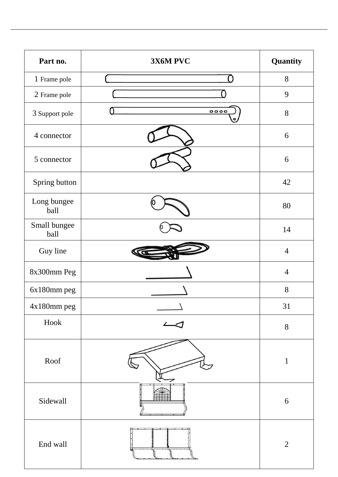| Part no.             | 3X6M PVC | Quantity         |
|----------------------|----------|------------------|
| 1 Frame pole         |          | 8                |
| 2 Frame pole         |          | 9                |
| 3 Support pole       | 0000     | 8                |
| 4 connector          |          | 6                |
| 5 connector          |          | 6                |
| Spring button        |          | 42               |
| Long bungee<br>ball  |          | 80               |
| Small bungee<br>ball |          | 14               |
| Guy line             |          | $\overline{4}$   |
| 8x300mm Peg          |          | $\overline{4}$   |
| 6x180mm peg          |          | 8                |
| 4x180mm peg          |          | 31               |
| Hook                 |          | $8\,$            |
| Roof                 |          | 1                |
| Sidewall             |          | $\boldsymbol{6}$ |
| End wall             |          | $\overline{2}$   |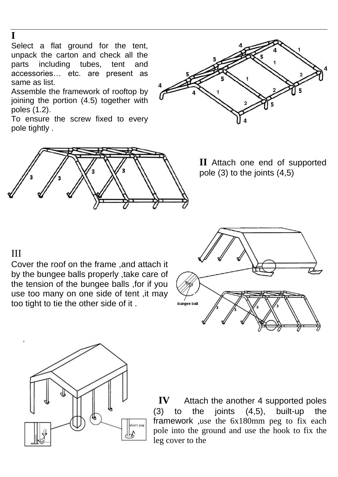## **I**

Select a flat ground for the tent, unpack the carton and check all the parts including tubes, tent and accessories… etc. are present as same as list.

Assemble the framework of rooftop by joining the portion (4.5) together with poles (1.2).

To ensure the screw fixed to every pole tightly .





**II** Attach one end of supported pole (3) to the joints (4,5)

## III

Cover the roof on the frame ,and attach it by the bungee balls properly ,take care of the tension of the bungee balls ,for if you use too many on one side of tent ,it may too tight to tie the other side of it .





**IV** Attach the another 4 supported poles (3) to the joints (4,5), built-up the framework ,use the 6x180mm peg to fix each pole into the ground and use the hook to fix the leg cover to the